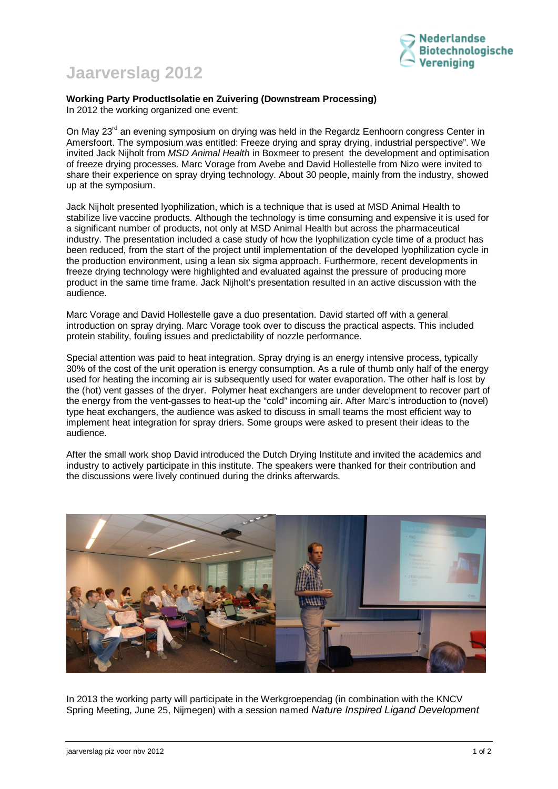

## **Jaarverslag 2012**

## **Working Party ProductIsolatie en Zuivering (Downstream Processing)**  In 2012 the working organized one event:

On May 23<sup>rd</sup> an evening symposium on drying was held in the Regardz Eenhoorn congress Center in Amersfoort. The symposium was entitled: Freeze drying and spray drying, industrial perspective". We invited Jack Nijholt from *MSD Animal Health* in Boxmeer to present the development and optimisation of freeze drying processes. Marc Vorage from Avebe and David Hollestelle from Nizo were invited to share their experience on spray drying technology. About 30 people, mainly from the industry, showed up at the symposium.

Jack Nijholt presented lyophilization, which is a technique that is used at MSD Animal Health to stabilize live vaccine products. Although the technology is time consuming and expensive it is used for a significant number of products, not only at MSD Animal Health but across the pharmaceutical industry. The presentation included a case study of how the lyophilization cycle time of a product has been reduced, from the start of the project until implementation of the developed lyophilization cycle in the production environment, using a lean six sigma approach. Furthermore, recent developments in freeze drying technology were highlighted and evaluated against the pressure of producing more product in the same time frame. Jack Nijholt's presentation resulted in an active discussion with the audience.

Marc Vorage and David Hollestelle gave a duo presentation. David started off with a general introduction on spray drying. Marc Vorage took over to discuss the practical aspects. This included protein stability, fouling issues and predictability of nozzle performance.

Special attention was paid to heat integration. Spray drying is an energy intensive process, typically 30% of the cost of the unit operation is energy consumption. As a rule of thumb only half of the energy used for heating the incoming air is subsequently used for water evaporation. The other half is lost by the (hot) vent gasses of the dryer. Polymer heat exchangers are under development to recover part of the energy from the vent-gasses to heat-up the "cold" incoming air. After Marc's introduction to (novel) type heat exchangers, the audience was asked to discuss in small teams the most efficient way to implement heat integration for spray driers. Some groups were asked to present their ideas to the audience.

After the small work shop David introduced the Dutch Drying Institute and invited the academics and industry to actively participate in this institute. The speakers were thanked for their contribution and the discussions were lively continued during the drinks afterwards.



In 2013 the working party will participate in the Werkgroependag (in combination with the KNCV Spring Meeting, June 25, Nijmegen) with a session named *Nature Inspired Ligand Development*